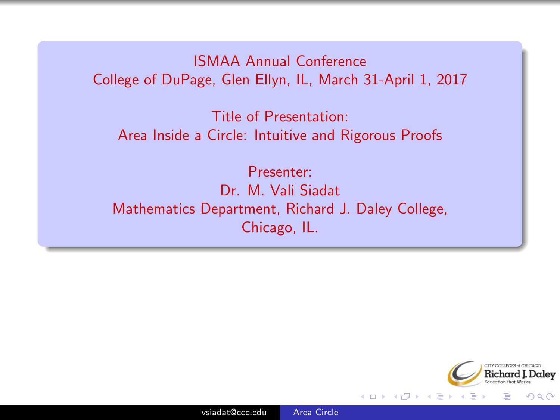#### <span id="page-0-0"></span>ISMAA Annual Conference College of DuPage, Glen Ellyn, IL, March 31-April 1, 2017

Title of Presentation: Area Inside a Circle: Intuitive and Rigorous Proofs

Presenter: Dr. M. Vali Siadat Mathematics Department, Richard J. Daley College, Chicago, IL.



つくい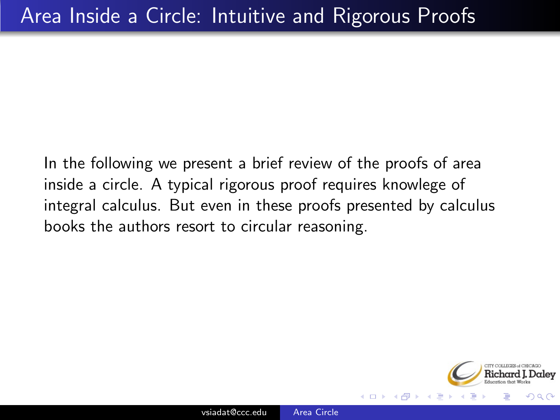In the following we present a brief review of the proofs of area inside a circle. A typical rigorous proof requires knowlege of integral calculus. But even in these proofs presented by calculus books the authors resort to circular reasoning.

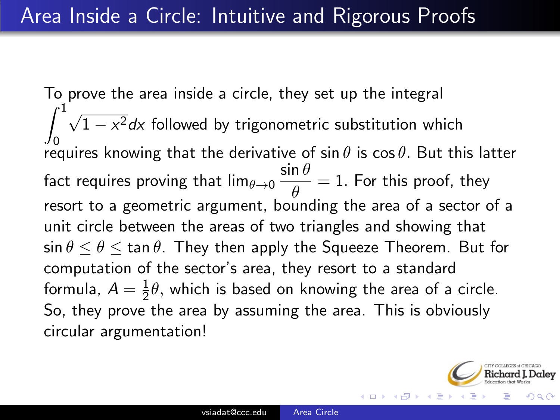To prove the area inside a circle, they set up the integral  $\int_0^1$ 0 √  $1 - x^2 dx$  followed by trigonometric substitution which requires knowing that the derivative of sin  $\theta$  is cos  $\theta.$  But this latter fact requires proving that lim $_{\theta\rightarrow 0} \frac{\sin\theta}{\theta}$  $\frac{d\mathbf{v}}{d\theta} = 1$ . For this proof, they resort to a geometric argument, bounding the area of a sector of a unit circle between the areas of two triangles and showing that  $\sin \theta \le \theta \le \tan \theta$ . They then apply the Squeeze Theorem. But for computation of the sector's area, they resort to a standard formula,  $A=\frac{1}{2}$  $\frac{1}{2}\theta$ , which is based on knowing the area of a circle. So, they prove the area by assuming the area. This is obviously circular argumentation!

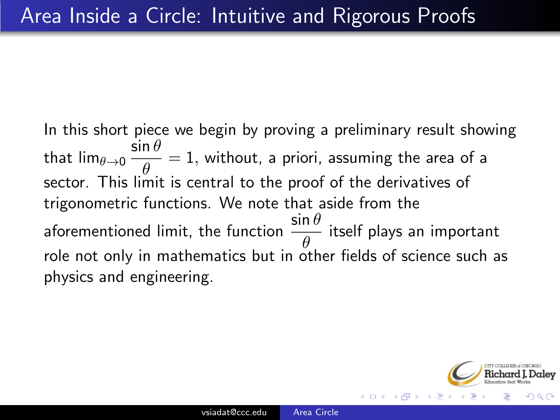In this short piece we begin by proving a preliminary result showing that lim $_{\theta\rightarrow 0}$   $\frac{\sin\theta}{\theta}$  $\frac{d\mathbf{v}}{\theta} = 1$ , without, a priori, assuming the area of a sector. This limit is central to the proof of the derivatives of trigonometric functions. We note that aside from the aforementioned limit, the function  $\frac{\sin \theta}{\theta}$  itself plays an important role not only in mathematics but in other fields of science such as physics and engineering.

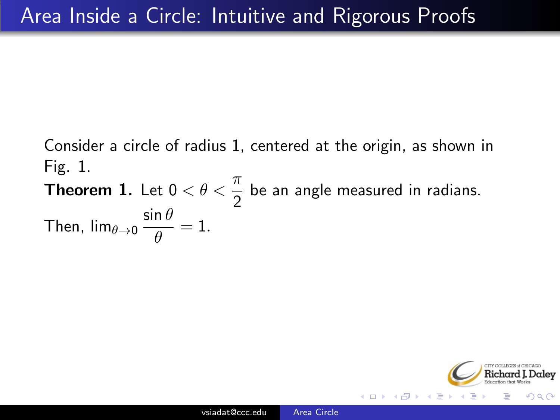Consider a circle of radius 1, centered at the origin, as shown in Fig. 1.

**Theorem 1.** Let  $0 < \theta < \frac{\pi}{2}$  be an angle measured in radians. Then,  $\lim_{\theta\to 0} \frac{\sin\theta}{\theta}$  $\frac{1}{\theta} = 1.$ 

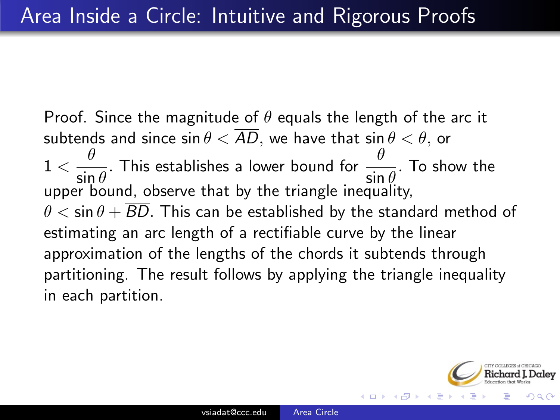Proof. Since the magnitude of  $\theta$  equals the length of the arc it subtends and since  $\sin \theta < \overline{AD}$ , we have that  $\sin \theta < \theta$ , or  $1<\frac{\theta}{\pi}$  $\frac{\theta}{\sin\theta}$ . This establishes a lower bound for  $\frac{\theta}{\sin\theta}$ . To show the upper bound, observe that by the triangle inequality,  $\theta < \sin \theta + \overline{BD}$ . This can be established by the standard method of estimating an arc length of a rectifiable curve by the linear approximation of the lengths of the chords it subtends through partitioning. The result follows by applying the triangle inequality in each partition.

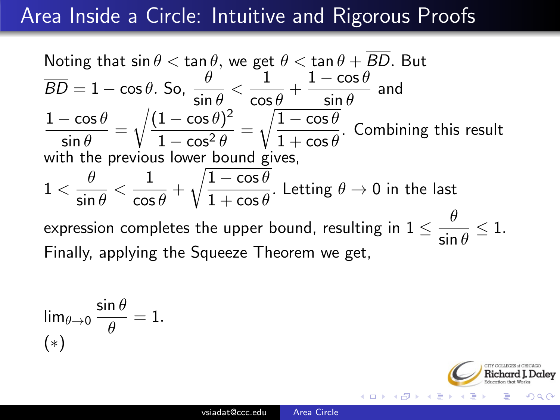Noting that 
$$
\sin \theta < \tan \theta
$$
, we get  $\theta < \tan \theta + \overline{BD}$ . But  $\overline{BD} = 1 - \cos \theta$ . So,  $\frac{\theta}{\sin \theta} < \frac{1}{\cos \theta} + \frac{1 - \cos \theta}{\sin \theta}$  and  $\frac{1 - \cos \theta}{\sin \theta} = \sqrt{\frac{(1 - \cos \theta)^2}{1 - \cos^2 \theta}} = \sqrt{\frac{1 - \cos \theta}{1 + \cos \theta}}$ . Combining this result with the previous lower bound gives,\n $1 < \frac{\theta}{\sin \theta} < \frac{1}{\cos \theta} + \sqrt{\frac{1 - \cos \theta}{1 + \cos \theta}}$ . Letting  $\theta \to 0$  in the last expression completes the upper bound, resulting in  $1 \leq \frac{\theta}{\sin \theta} \leq 1$ . Finally, applying the Squeeze Theorem we get,

$$
\lim_{\theta \to 0} \frac{\sin \theta}{\theta} = 1.
$$
  
(\*)

€⊡  $\rightarrow$ ে ⊣ শি **SIL** 

alev つくへ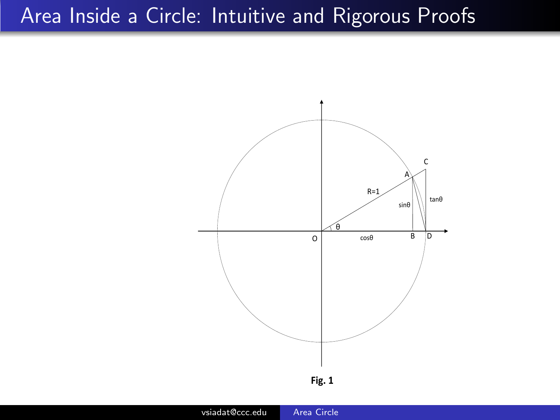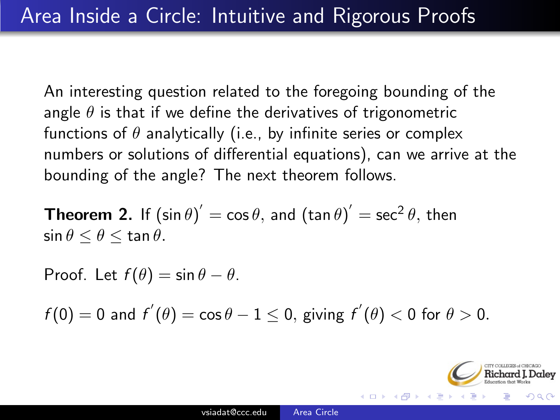An interesting question related to the foregoing bounding of the angle  $\theta$  is that if we define the derivatives of trigonometric functions of  $\theta$  analytically (i.e., by infinite series or complex numbers or solutions of differential equations), can we arrive at the bounding of the angle? The next theorem follows.

**Theorem 2.** If  $(\sin \theta)' = \cos \theta$ , and  $(\tan \theta)' = \sec^2 \theta$ , then  $\sin \theta \leq \theta \leq \tan \theta$ .

Proof. Let  $f(\theta) = \sin \theta - \theta$ .

 $f(0) = 0$  and  $f'(\theta) = \cos \theta - 1 \le 0$ , giving  $f'(\theta) < 0$  for  $\theta > 0$ .

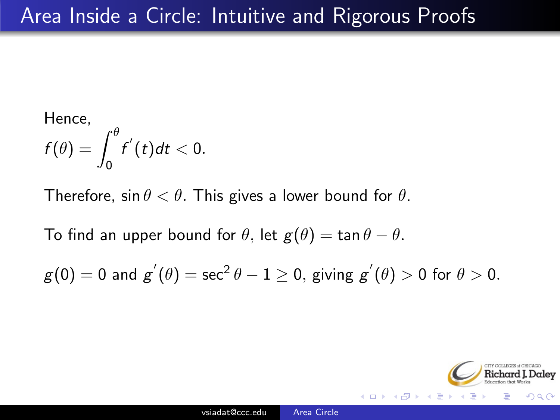Hence,  

$$
f(\theta) = \int_0^{\theta} f'(t) dt < 0.
$$

Therefore, sin  $\theta < \theta$ . This gives a lower bound for  $\theta$ .

To find an upper bound for  $\theta$ , let  $g(\theta) = \tan \theta - \theta$ .

$$
g(0) = 0 \text{ and } g^{'}(\theta) = \sec^2 \theta - 1 \ge 0, \text{ giving } g^{'}(\theta) > 0 \text{ for } \theta > 0.
$$

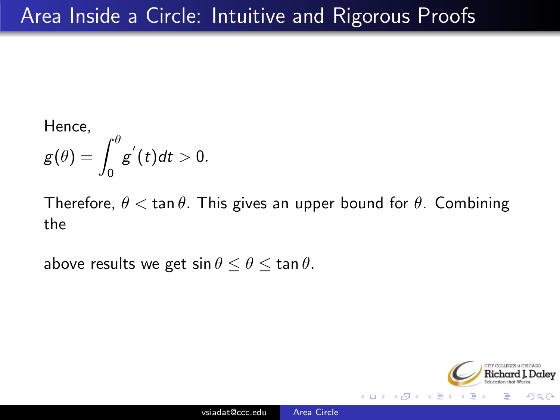Hence,  

$$
g(\theta) = \int_0^{\theta} g'(t) dt > 0.
$$

Therefore,  $\theta < \tan \theta$ . This gives an upper bound for  $\theta$ . Combining the

above results we get  $\sin \theta \le \theta \le \tan \theta$ .

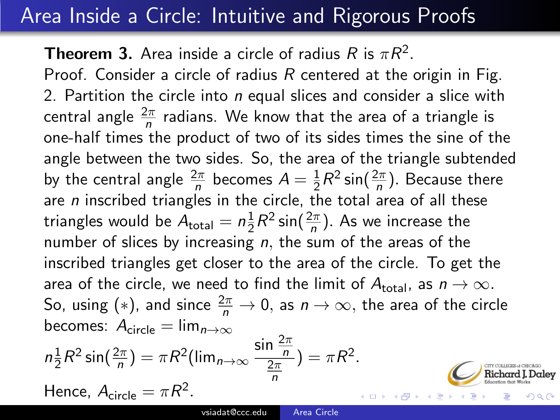**Theorem 3.** Area inside a circle of radius R is  $\pi R^2$ . Proof. Consider a circle of radius  $R$  centered at the origin in Fig. 2. Partition the circle into  $n$  equal slices and consider a slice with central angle  $\frac{2\pi}{n}$  radians. We know that the area of a triangle is one-half times the product of two of its sides times the sine of the angle between the two sides. So, the area of the triangle subtended by the central angle  $\frac{2\pi}{n}$  becomes  $A=\frac{1}{2}$  $\frac{1}{2}R^2 \sin(\frac{2\pi}{n})$ . Because there are  $n$  inscribed triangles in the circle, the total area of all these triangles would be  $A_{\sf total} = n \frac{1}{2}$  $\frac{1}{2}R^2 \sin(\frac{2\pi}{n})$ . As we increase the number of slices by increasing  $n$ , the sum of the areas of the inscribed triangles get closer to the area of the circle. To get the area of the circle, we need to find the limit of  $A_{total}$ , as  $n \rightarrow \infty$ . So, using (\*), and since  $\frac{2\pi}{n} \to 0$ , as  $n \to \infty$ , the area of the circle becomes:  $A_{\text{circle}} = \lim_{n \to \infty}$ 

$$
n\frac{1}{2}R^2\sin(\frac{2\pi}{n}) = \pi R^2(\lim_{n\to\infty}\frac{\sin\frac{2\pi}{n}}{\frac{2\pi}{n}}) = \pi R^2.
$$
 Hence,  $A_{\text{circle}} = \pi R^2$ .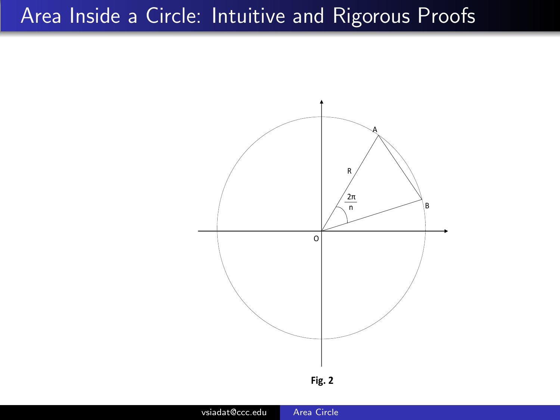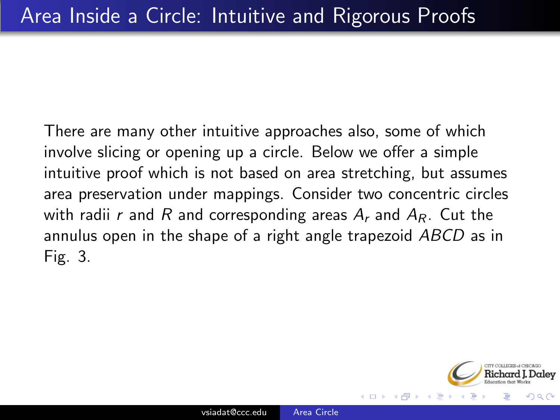There are many other intuitive approaches also, some of which involve slicing or opening up a circle. Below we offer a simple intuitive proof which is not based on area stretching, but assumes area preservation under mappings. Consider two concentric circles with radii r and R and corresponding areas  $A_r$  and  $A_R$ . Cut the annulus open in the shape of a right angle trapezoid ABCD as in Fig. 3.

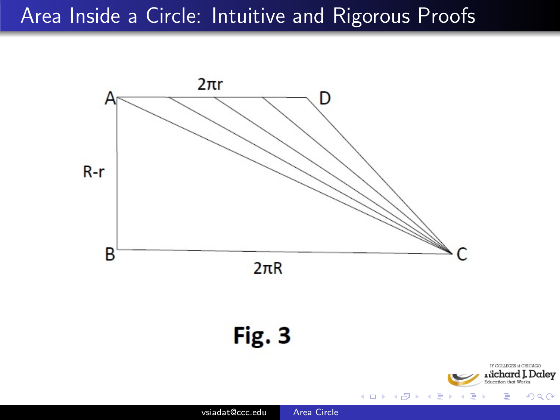

つくへ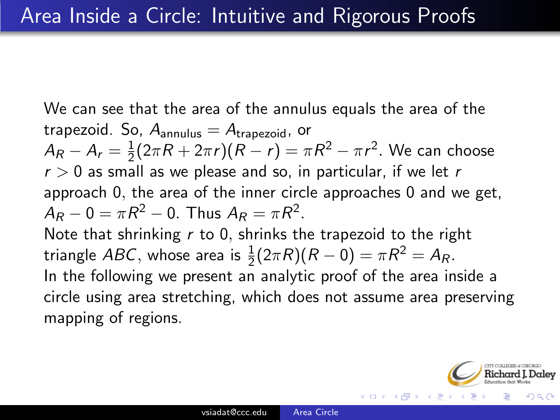We can see that the area of the annulus equals the area of the trapezoid. So,  $A_{annulus} = A_{trapezoid}$ , or  $A_R - A_r = \frac{1}{2}$  $\frac{1}{2}(2\pi R + 2\pi r)(R - r) = \pi R^2 - \pi r^2$ . We can choose  $r > 0$  as small as we please and so, in particular, if we let r approach 0, the area of the inner circle approaches 0 and we get,  $A_R - 0 = \pi R^2 - 0$ . Thus  $A_R = \pi R^2$ . Note that shrinking  $r$  to 0, shrinks the trapezoid to the right triangle ABC, whose area is  $\frac{1}{2}(2\pi R)(R-0) = \pi R^2 = A_R$ . In the following we present an analytic proof of the area inside a circle using area stretching, which does not assume area preserving mapping of regions.

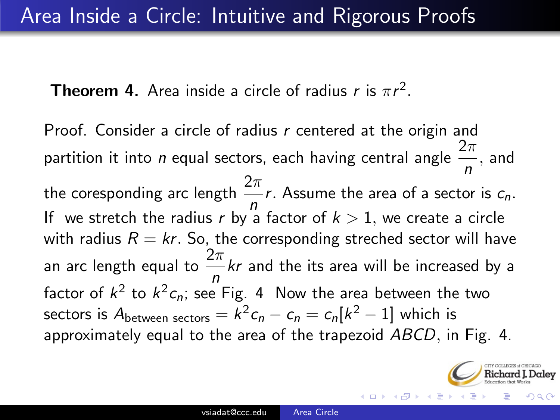**Theorem 4.** Area inside a circle of radius r is  $\pi r^2$ .

Proof. Consider a circle of radius  $r$  centered at the origin and partition it into *n* equal sectors, each having central angle  $\frac{2\pi}{n}$ , and the coresponding arc length  $\frac{2\pi}{n}r$ . Assume the area of a sector is  $c_n$ . If we stretch the radius r by a factor of  $k > 1$ , we create a circle with radius  $R = kr$ . So, the corresponding streched sector will have an arc length equal to  $\frac{2\pi}{n}$ kr and the its area will be increased by a factor of  $k^2$  to  $k^2 c_n$ ; see Fig. 4  $\,$  Now the area between the two sectors is  $A_{\text{between sectors}} = k^2 c_n - c_n = c_n[k^2 - 1]$  which is approximately equal to the area of the trapezoid ABCD, in Fig. 4.

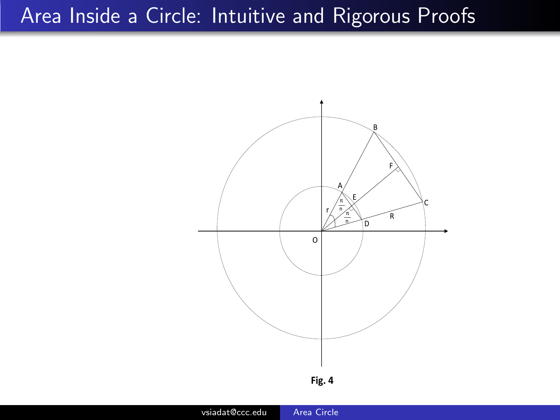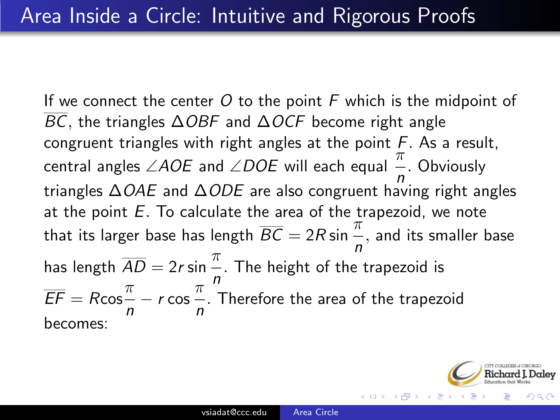If we connect the center  $O$  to the point  $F$  which is the midpoint of BC, the triangles  $\triangle$ OBF and  $\triangle$ OCF become right angle congruent triangles with right angles at the point  $F$ . As a result, central angles ∠AOE and ∠DOE will each equal  $\frac{\pi}{n}$ . Obviously triangles ∆OAE and ∆ODE are also congruent having right angles at the point  $E$ . To calculate the area of the trapezoid, we note that its larger base has length  $\overline{BC} = 2R \sin \frac{\pi}{n}$ , and its smaller base has length  $\overline{AD} = 2r \sin \frac{\pi}{r}$ . The height of the trapezoid is n  $\overline{EF} = R \cos \frac{\pi}{2}$  $\frac{\pi}{n}$  – r cos  $\frac{\pi}{n}$  $\frac{1}{n}$ . Therefore the area of the trapezoid<br>*n* becomes:

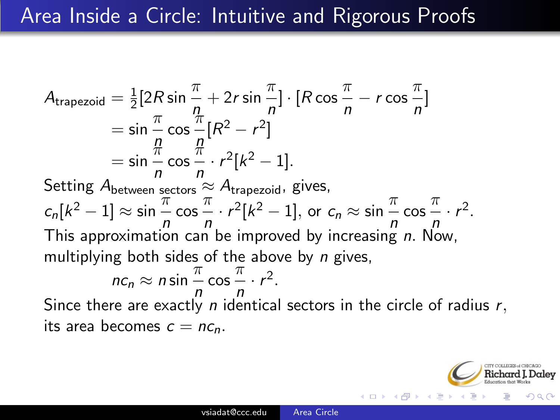$\mathcal{A}_{\mathsf{trapezoid}} = \frac{1}{2}$  $\frac{1}{2}[2R\sin\frac{\pi}{n}+2r\sin\frac{\pi}{n}]\cdot[R\cos\frac{\pi}{n}]$  $\frac{\pi}{n} - r \cos \frac{\pi}{n}$  $\frac{n}{n}$ ]  $=\sin \frac{\pi}{n} \cos \frac{\pi}{n}$  $\frac{n}{p}[R^2 - r^2]$  $=$  sin  $\frac{\pi}{n}$  cos  $\frac{\pi}{n}$  $\frac{n}{n} \cdot r^2[k^2-1].$ Setting  $A_{between~sectors} \approx A_{trapezoid}$ , gives,  $c_n[k^2 - 1] \approx \sin \frac{\pi}{n} \cos \frac{\pi}{n}$  $rac{\pi}{n} \cdot r^2 [k^2 - 1]$ , or  $c_n \approx \sin \frac{\pi}{n} \cos \frac{\pi}{n}$  $\frac{n}{p} \cdot r^2$ . This approximation can be improved by increasing n. Now, multiplying both sides of the above by  $n$  gives,  $nc_n \approx n \sin \frac{\pi}{n} \cos \frac{\pi}{n} \cdot r^2$ .  $n \sim n$ Since there are exactly  $n$  identical sectors in the circle of radius  $r,$ its area becomes  $c = nc_n$ .

つくい